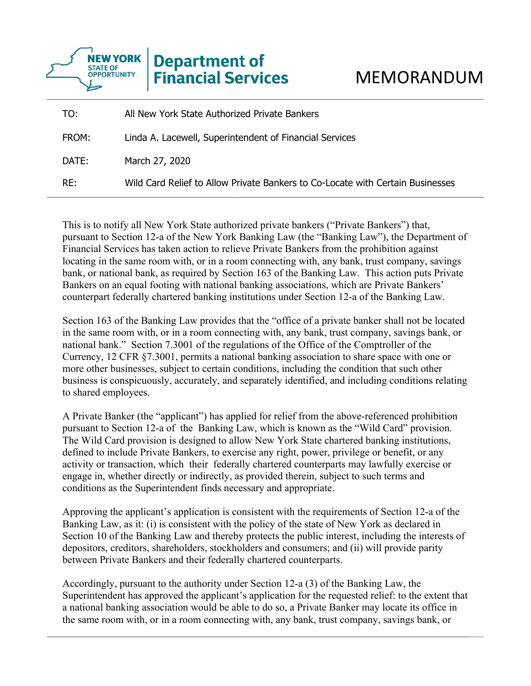

| TO:   | All New York State Authorized Private Bankers                                  |
|-------|--------------------------------------------------------------------------------|
| FROM: | Linda A. Lacewell, Superintendent of Financial Services                        |
| DATE: | March 27, 2020                                                                 |
| RE:   | Wild Card Relief to Allow Private Bankers to Co-Locate with Certain Businesses |

This is to notify all New York State authorized private bankers ("Private Bankers") that, pursuant to Section 12-a of the New York Banking Law (the "Banking Law"), the Department of Financial Services has taken action to relieve Private Bankers from the prohibition against locating in the same room with, or in a room connecting with, any bank, trust company, savings bank, or national bank, as required by Section 163 of the Banking Law. This action puts Private Bankers on an equal footing with national banking associations, which are Private Bankers' counterpart federally chartered banking institutions under Section 12-a of the Banking Law.

to shared employees. Section 163 of the Banking Law provides that the "office of a private banker shall not be located in the same room with, or in a room connecting with, any bank, trust company, savings bank, or national bank." Section 7.3001 of the regulations of the Office of the Comptroller of the Currency, 12 CFR §7.3001, permits a national banking association to share space with one or more other businesses, subject to certain conditions, including the condition that such other business is conspicuously, accurately, and separately identified, and including conditions relating

A Private Banker (the "applicant") has applied for relief from the above-referenced prohibition pursuant to Section 12-a of the Banking Law, which is known as the "Wild Card" provision. The Wild Card provision is designed to allow New York State chartered banking institutions, defined to include Private Bankers, to exercise any right, power, privilege or benefit, or any activity or transaction, which their federally chartered counterparts may lawfully exercise or engage in, whether directly or indirectly, as provided therein, subject to such terms and conditions as the Superintendent finds necessary and appropriate.

Approving the applicant's application is consistent with the requirements of Section 12-a of the Banking Law, as it: (i) is consistent with the policy of the state of New York as declared in Section 10 of the Banking Law and thereby protects the public interest, including the interests of depositors, creditors, shareholders, stockholders and consumers; and (ii) will provide parity between Private Bankers and their federally chartered counterparts.

Accordingly, pursuant to the authority under Section 12-a (3) of the Banking Law, the Superintendent has approved the applicant's application for the requested relief: to the extent that a national banking association would be able to do so, a Private Banker may locate its office in the same room with, or in a room connecting with, any bank, trust company, savings bank, or